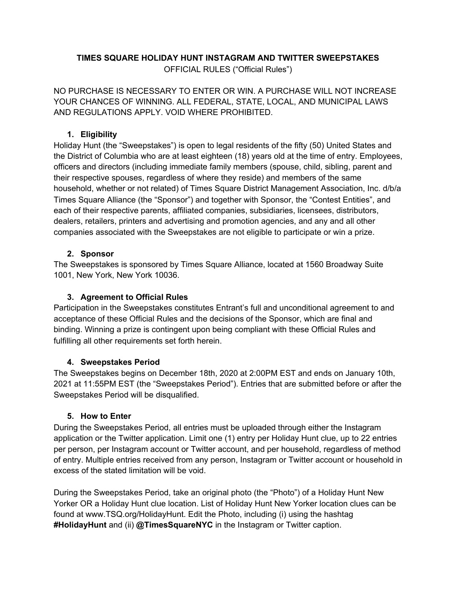# **TIMES SQUARE HOLIDAY HUNT INSTAGRAM AND TWITTER SWEEPSTAKES**

OFFICIAL RULES ("Official Rules")

NO PURCHASE IS NECESSARY TO ENTER OR WIN. A PURCHASE WILL NOT INCREASE YOUR CHANCES OF WINNING. ALL FEDERAL, STATE, LOCAL, AND MUNICIPAL LAWS AND REGULATIONS APPLY. VOID WHERE PROHIBITED.

## **1. Eligibility**

Holiday Hunt (the "Sweepstakes") is open to legal residents of the fifty (50) United States and the District of Columbia who are at least eighteen (18) years old at the time of entry. Employees, officers and directors (including immediate family members (spouse, child, sibling, parent and their respective spouses, regardless of where they reside) and members of the same household, whether or not related) of Times Square District Management Association, Inc. d/b/a Times Square Alliance (the "Sponsor") and together with Sponsor, the "Contest Entities", and each of their respective parents, affiliated companies, subsidiaries, licensees, distributors, dealers, retailers, printers and advertising and promotion agencies, and any and all other companies associated with the Sweepstakes are not eligible to participate or win a prize.

## **2. Sponsor**

The Sweepstakes is sponsored by Times Square Alliance, located at 1560 Broadway Suite 1001, New York, New York 10036.

#### **3. Agreement to Official Rules**

Participation in the Sweepstakes constitutes Entrant's full and unconditional agreement to and acceptance of these Official Rules and the decisions of the Sponsor, which are final and binding. Winning a prize is contingent upon being compliant with these Official Rules and fulfilling all other requirements set forth herein.

#### **4. Sweepstakes Period**

The Sweepstakes begins on December 18th, 2020 at 2:00PM EST and ends on January 10th, 2021 at 11:55PM EST (the "Sweepstakes Period"). Entries that are submitted before or after the Sweepstakes Period will be disqualified.

#### **5. How to Enter**

During the Sweepstakes Period, all entries must be uploaded through either the Instagram application or the Twitter application. Limit one (1) entry per Holiday Hunt clue, up to 22 entries per person, per Instagram account or Twitter account, and per household, regardless of method of entry. Multiple entries received from any person, Instagram or Twitter account or household in excess of the stated limitation will be void.

During the Sweepstakes Period, take an original photo (the "Photo") of a Holiday Hunt New Yorker OR a Holiday Hunt clue location. List of Holiday Hunt New Yorker location clues can be found at www.TSQ.org/HolidayHunt. Edit the Photo, including (i) using the hashtag **#HolidayHunt** and (ii) **@TimesSquareNYC** in the Instagram or Twitter caption.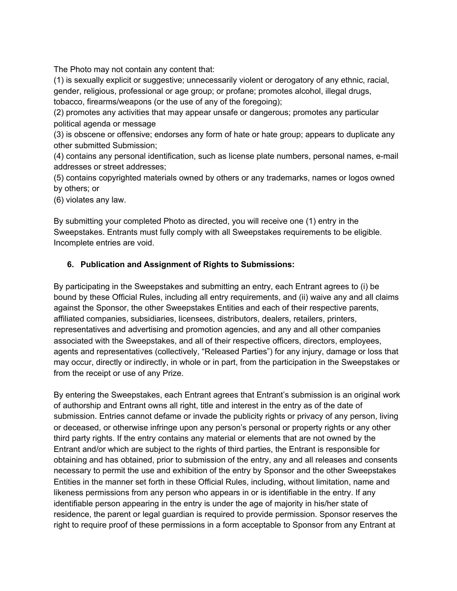The Photo may not contain any content that:

(1) is sexually explicit or suggestive; unnecessarily violent or derogatory of any ethnic, racial, gender, religious, professional or age group; or profane; promotes alcohol, illegal drugs, tobacco, firearms/weapons (or the use of any of the foregoing);

(2) promotes any activities that may appear unsafe or dangerous; promotes any particular political agenda or message

(3) is obscene or offensive; endorses any form of hate or hate group; appears to duplicate any other submitted Submission;

(4) contains any personal identification, such as license plate numbers, personal names, e-mail addresses or street addresses;

(5) contains copyrighted materials owned by others or any trademarks, names or logos owned by others; or

(6) violates any law.

By submitting your completed Photo as directed, you will receive one (1) entry in the Sweepstakes. Entrants must fully comply with all Sweepstakes requirements to be eligible. Incomplete entries are void.

## **6. Publication and Assignment of Rights to Submissions:**

By participating in the Sweepstakes and submitting an entry, each Entrant agrees to (i) be bound by these Official Rules, including all entry requirements, and (ii) waive any and all claims against the Sponsor, the other Sweepstakes Entities and each of their respective parents, affiliated companies, subsidiaries, licensees, distributors, dealers, retailers, printers, representatives and advertising and promotion agencies, and any and all other companies associated with the Sweepstakes, and all of their respective officers, directors, employees, agents and representatives (collectively, "Released Parties") for any injury, damage or loss that may occur, directly or indirectly, in whole or in part, from the participation in the Sweepstakes or from the receipt or use of any Prize.

By entering the Sweepstakes, each Entrant agrees that Entrant's submission is an original work of authorship and Entrant owns all right, title and interest in the entry as of the date of submission. Entries cannot defame or invade the publicity rights or privacy of any person, living or deceased, or otherwise infringe upon any person's personal or property rights or any other third party rights. If the entry contains any material or elements that are not owned by the Entrant and/or which are subject to the rights of third parties, the Entrant is responsible for obtaining and has obtained, prior to submission of the entry, any and all releases and consents necessary to permit the use and exhibition of the entry by Sponsor and the other Sweepstakes Entities in the manner set forth in these Official Rules, including, without limitation, name and likeness permissions from any person who appears in or is identifiable in the entry. If any identifiable person appearing in the entry is under the age of majority in his/her state of residence, the parent or legal guardian is required to provide permission. Sponsor reserves the right to require proof of these permissions in a form acceptable to Sponsor from any Entrant at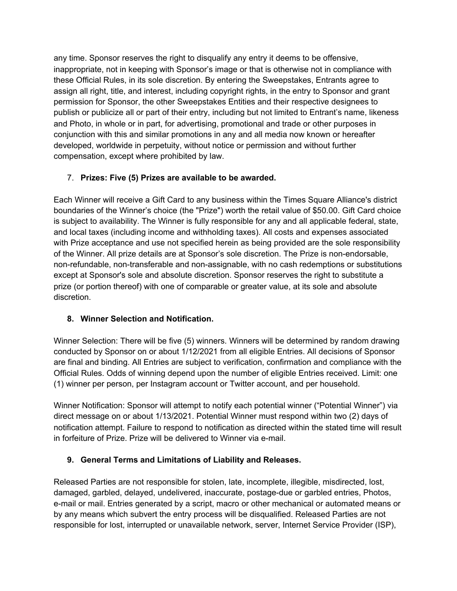any time. Sponsor reserves the right to disqualify any entry it deems to be offensive, inappropriate, not in keeping with Sponsor's image or that is otherwise not in compliance with these Official Rules, in its sole discretion. By entering the Sweepstakes, Entrants agree to assign all right, title, and interest, including copyright rights, in the entry to Sponsor and grant permission for Sponsor, the other Sweepstakes Entities and their respective designees to publish or publicize all or part of their entry, including but not limited to Entrant's name, likeness and Photo, in whole or in part, for advertising, promotional and trade or other purposes in conjunction with this and similar promotions in any and all media now known or hereafter developed, worldwide in perpetuity, without notice or permission and without further compensation, except where prohibited by law.

# 7. **Prizes: Five (5) Prizes are available to be awarded.**

Each Winner will receive a Gift Card to any business within the Times Square Alliance's district boundaries of the Winner's choice (the "Prize") worth the retail value of \$50.00. Gift Card choice is subject to availability. The Winner is fully responsible for any and all applicable federal, state, and local taxes (including income and withholding taxes). All costs and expenses associated with Prize acceptance and use not specified herein as being provided are the sole responsibility of the Winner. All prize details are at Sponsor's sole discretion. The Prize is non-endorsable, non-refundable, non-transferable and non-assignable, with no cash redemptions or substitutions except at Sponsor's sole and absolute discretion. Sponsor reserves the right to substitute a prize (or portion thereof) with one of comparable or greater value, at its sole and absolute discretion.

# **8. Winner Selection and Notification.**

Winner Selection: There will be five (5) winners. Winners will be determined by random drawing conducted by Sponsor on or about 1/12/2021 from all eligible Entries. All decisions of Sponsor are final and binding. All Entries are subject to verification, confirmation and compliance with the Official Rules. Odds of winning depend upon the number of eligible Entries received. Limit: one (1) winner per person, per Instagram account or Twitter account, and per household.

Winner Notification: Sponsor will attempt to notify each potential winner ("Potential Winner") via direct message on or about 1/13/2021. Potential Winner must respond within two (2) days of notification attempt. Failure to respond to notification as directed within the stated time will result in forfeiture of Prize. Prize will be delivered to Winner via e-mail.

# **9. General Terms and Limitations of Liability and Releases.**

Released Parties are not responsible for stolen, late, incomplete, illegible, misdirected, lost, damaged, garbled, delayed, undelivered, inaccurate, postage-due or garbled entries, Photos, e-mail or mail. Entries generated by a script, macro or other mechanical or automated means or by any means which subvert the entry process will be disqualified. Released Parties are not responsible for lost, interrupted or unavailable network, server, Internet Service Provider (ISP),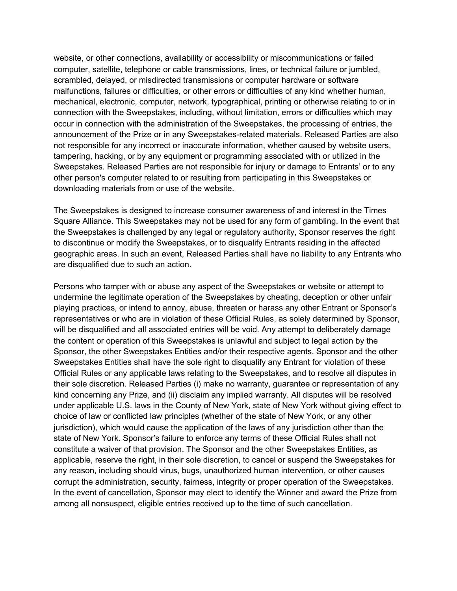website, or other connections, availability or accessibility or miscommunications or failed computer, satellite, telephone or cable transmissions, lines, or technical failure or jumbled, scrambled, delayed, or misdirected transmissions or computer hardware or software malfunctions, failures or difficulties, or other errors or difficulties of any kind whether human, mechanical, electronic, computer, network, typographical, printing or otherwise relating to or in connection with the Sweepstakes, including, without limitation, errors or difficulties which may occur in connection with the administration of the Sweepstakes, the processing of entries, the announcement of the Prize or in any Sweepstakes-related materials. Released Parties are also not responsible for any incorrect or inaccurate information, whether caused by website users, tampering, hacking, or by any equipment or programming associated with or utilized in the Sweepstakes. Released Parties are not responsible for injury or damage to Entrants' or to any other person's computer related to or resulting from participating in this Sweepstakes or downloading materials from or use of the website.

The Sweepstakes is designed to increase consumer awareness of and interest in the Times Square Alliance. This Sweepstakes may not be used for any form of gambling. In the event that the Sweepstakes is challenged by any legal or regulatory authority, Sponsor reserves the right to discontinue or modify the Sweepstakes, or to disqualify Entrants residing in the affected geographic areas. In such an event, Released Parties shall have no liability to any Entrants who are disqualified due to such an action.

Persons who tamper with or abuse any aspect of the Sweepstakes or website or attempt to undermine the legitimate operation of the Sweepstakes by cheating, deception or other unfair playing practices, or intend to annoy, abuse, threaten or harass any other Entrant or Sponsor's representatives or who are in violation of these Official Rules, as solely determined by Sponsor, will be disqualified and all associated entries will be void. Any attempt to deliberately damage the content or operation of this Sweepstakes is unlawful and subject to legal action by the Sponsor, the other Sweepstakes Entities and/or their respective agents. Sponsor and the other Sweepstakes Entities shall have the sole right to disqualify any Entrant for violation of these Official Rules or any applicable laws relating to the Sweepstakes, and to resolve all disputes in their sole discretion. Released Parties (i) make no warranty, guarantee or representation of any kind concerning any Prize, and (ii) disclaim any implied warranty. All disputes will be resolved under applicable U.S. laws in the County of New York, state of New York without giving effect to choice of law or conflicted law principles (whether of the state of New York, or any other jurisdiction), which would cause the application of the laws of any jurisdiction other than the state of New York. Sponsor's failure to enforce any terms of these Official Rules shall not constitute a waiver of that provision. The Sponsor and the other Sweepstakes Entities, as applicable, reserve the right, in their sole discretion, to cancel or suspend the Sweepstakes for any reason, including should virus, bugs, unauthorized human intervention, or other causes corrupt the administration, security, fairness, integrity or proper operation of the Sweepstakes. In the event of cancellation, Sponsor may elect to identify the Winner and award the Prize from among all nonsuspect, eligible entries received up to the time of such cancellation.